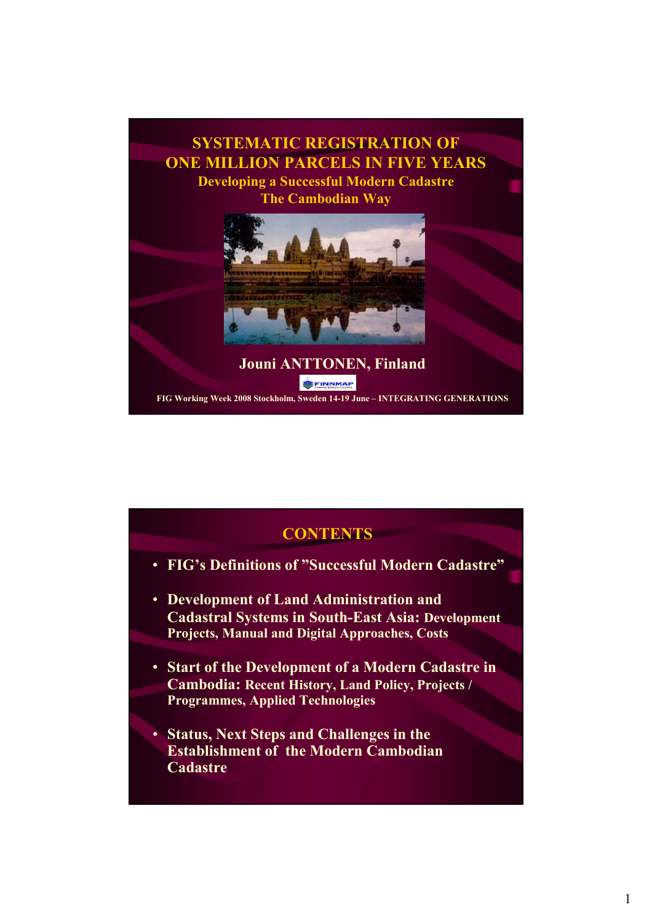

| <b>CONTENTS</b>                                                                                                                                               |
|---------------------------------------------------------------------------------------------------------------------------------------------------------------|
| • FIG's Definitions of "Successful Modern Cadastre"                                                                                                           |
| • Development of Land Administration and<br><b>Cadastral Systems in South-East Asia: Development</b><br><b>Projects, Manual and Digital Approaches, Costs</b> |
| • Start of the Development of a Modern Cadastre in<br><b>Cambodia: Recent History, Land Policy, Projects /</b><br><b>Programmes, Applied Technologies</b>     |
| • Status, Next Steps and Challenges in the<br><b>Establishment of the Modern Cambodian</b><br><b>Cadastre</b>                                                 |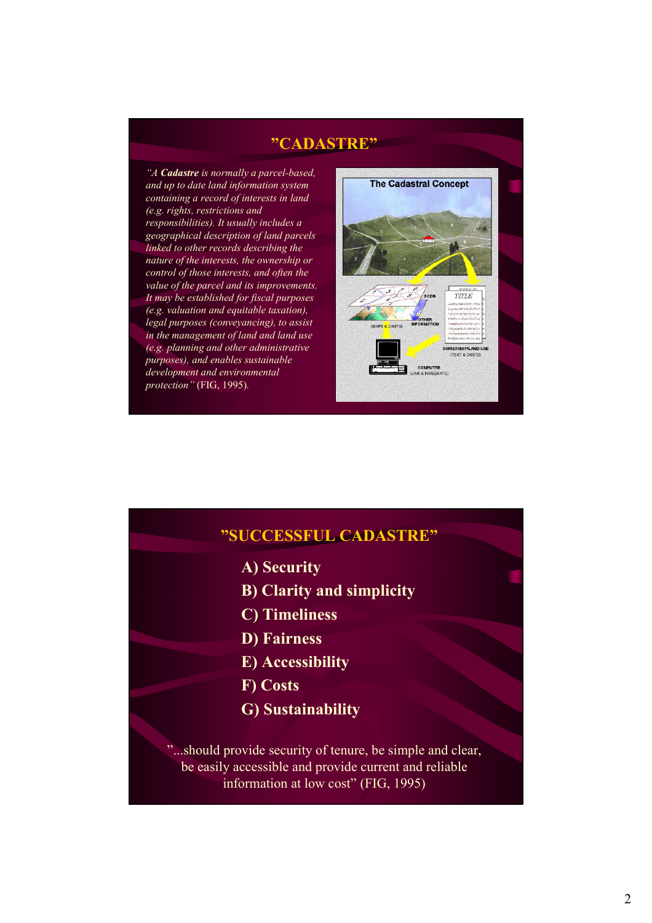## **"CADASTRE"**

*"A Cadastre is normally a parcel-based, and up to date land information system containing a record of interests in land (e.g. rights, restrictions and responsibilities). It usually includes a geographical description of land parcels linked to other records describing the nature of the interests, the ownership or control of those interests, and often the value of the parcel and its improvements. It may be established for fiscal purposes (e.g. valuation and equitable taxation), legal purposes (conveyancing), to assist in the management of land and land use (e.g. planning and other administrative purposes), and enables sustainable development and environmental protection"* (FIG, 1995)*.*



# **"SUCCESSFUL CADASTRE" A) Security B) Clarity and simplicity C) Timeliness D) Fairness E) Accessibility F) Costs G) Sustainability** "...should provide security of tenure, be simple and clear, be easily accessible and provide current and reliable information at low cost" (FIG, 1995)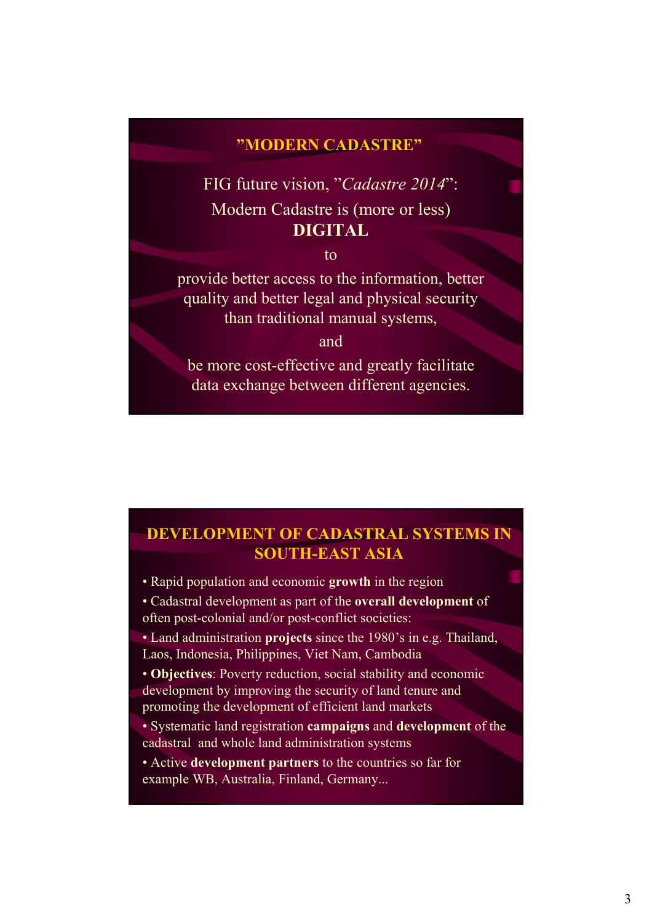## **"MODERN CADASTRE"**

FIG future vision, "*Cadastre 2014*": Modern Cadastre is (more or less) **DIGITAL**

to

provide better access to the information, better quality and better legal and physical security than traditional manual systems,

and

be more cost-effective and greatly facilitate data exchange between different agencies.

## **DEVELOPMENT OF CADASTRAL SYSTEMS IN SOUTH-EAST ASIA**

• Rapid population and economic **growth** in the region

• Cadastral development as part of the **overall development** of often post-colonial and/or post-conflict societies:

• Land administration **projects** since the 1980's in e.g. Thailand, Laos, Indonesia, Philippines, Viet Nam, Cambodia

• **Objectives**: Poverty reduction, social stability and economic development by improving the security of land tenure and promoting the development of efficient land markets

• Systematic land registration **campaigns** and **development** of the cadastral and whole land administration systems

• Active **development partners** to the countries so far for example WB, Australia, Finland, Germany...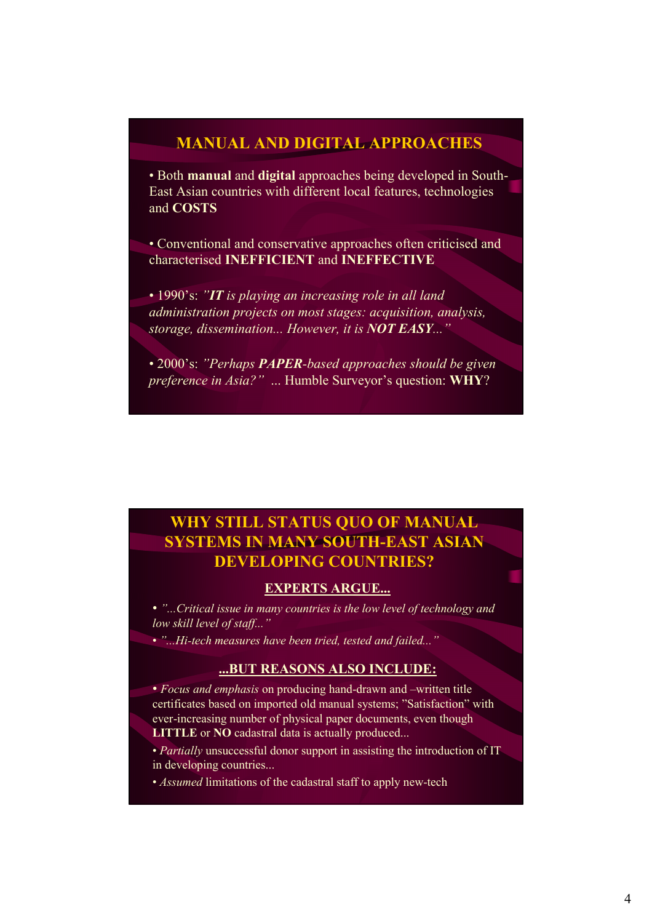## **MANUAL AND DIGITAL APPROACHES**

• Both **manual** and **digital** approaches being developed in South-East Asian countries with different local features, technologies and **COSTS**

• Conventional and conservative approaches often criticised and characterised **INEFFICIENT** and **INEFFECTIVE**

• 1990's: *"IT is playing an increasing role in all land administration projects on most stages: acquisition, analysis, storage, dissemination... However, it is NOT EASY..."*

• 2000's: *"Perhaps PAPER-based approaches should be given preference in Asia?"* ... Humble Surveyor's question: **WHY**?

## **WHY STILL STATUS QUO OF MANUAL SYSTEMS IN MANY SOUTH-EAST ASIAN DEVELOPING COUNTRIES?**

### **EXPERTS ARGUE...**

• *"...Critical issue in many countries is the low level of technology and low skill level of staff..."*

• *"...Hi-tech measures have been tried, tested and failed..."*

### **...BUT REASONS ALSO INCLUDE:**

• *Focus and emphasis* on producing hand-drawn and –written title certificates based on imported old manual systems; "Satisfaction" with ever-increasing number of physical paper documents, even though **LITTLE** or **NO** cadastral data is actually produced...

• *Partially* unsuccessful donor support in assisting the introduction of IT in developing countries...

• *Assumed* limitations of the cadastral staff to apply new-tech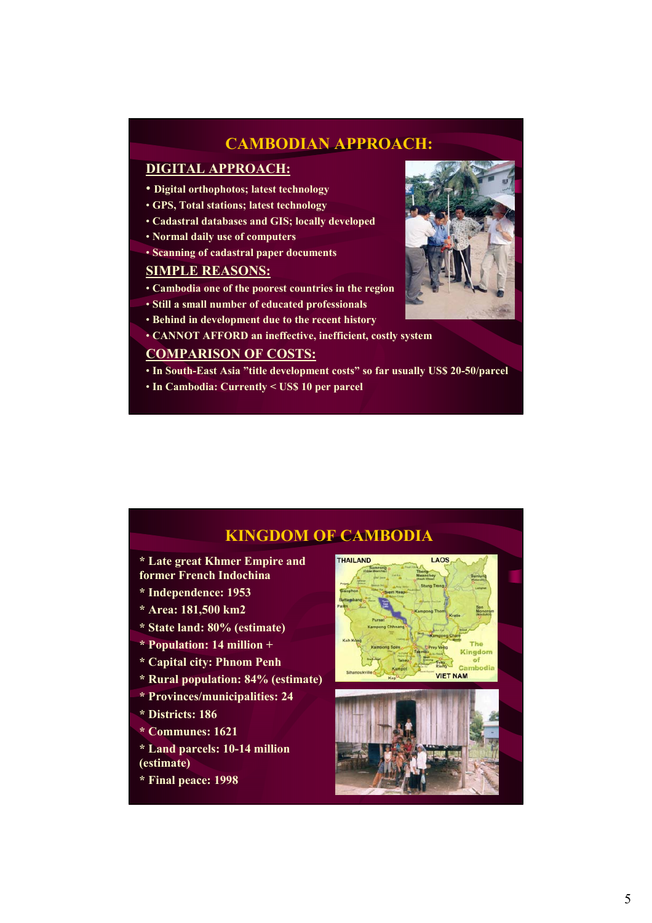## **CAMBODIAN APPROACH:**

### **DIGITAL APPROACH:**

- **Digital orthophotos; latest technology**
- **GPS, Total stations; latest technology**
- **Cadastral databases and GIS; locally developed**
- **Normal daily use of computers**
- **Scanning of cadastral paper documents**

## **SIMPLE REASONS:**

- **Cambodia one of the poorest countries in the region**
- **Still a small number of educated professionals**
- **Behind in development due to the recent history**
- **CANNOT AFFORD an ineffective, inefficient, costly system**

### **COMPARISON OF COSTS:**

- **In South-East Asia "title development costs" so far usually US\$ 20-50/parcel**
- **In Cambodia: Currently < US\$ 10 per parcel**



## **KINGDOM OF CAMBODIA**

- **\* Late great Khmer Empire and**
- **former French Indochina**
- **\* Independence: 1953**
- **\* Area: 181,500 km2**
- **\* State land: 80% (estimate)**
- **\* Population: 14 million +**
- **\* Capital city: Phnom Penh**
- **\* Rural population: 84% (estimate)**
- **\* Provinces/municipalities: 24**
- **\* Districts: 186**
- **\* Communes: 1621**
- **\* Land parcels: 10-14 million (estimate)**
- **\* Final peace: 1998**



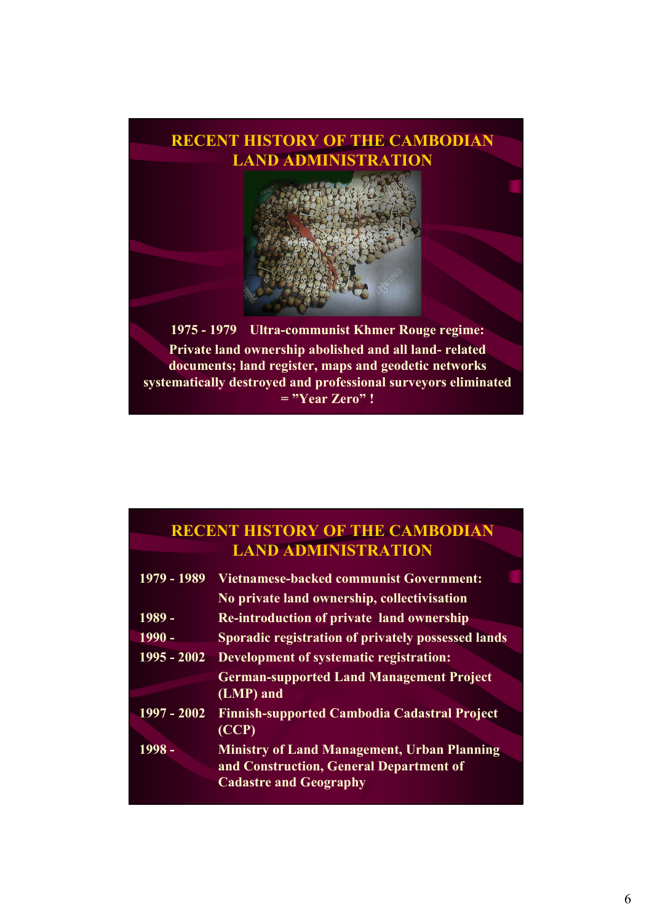

# **RECENT HISTORY OF THE CAMBODIAN LAND ADMINISTRATION**

| 1979 - 1989   | <b>Vietnamese-backed communist Government:</b><br>No private land ownership, collectivisation                                  |
|---------------|--------------------------------------------------------------------------------------------------------------------------------|
| 1989 -        | <b>Re-introduction of private land ownership</b>                                                                               |
| 1990 -        | Sporadic registration of privately possessed lands                                                                             |
| $1995 - 2002$ | Development of systematic registration:                                                                                        |
|               | <b>German-supported Land Management Project</b><br>(LMP) and                                                                   |
| $1997 - 2002$ | <b>Finnish-supported Cambodia Cadastral Project</b><br>(CCP)                                                                   |
| 1998 -        | <b>Ministry of Land Management, Urban Planning</b><br>and Construction, General Department of<br><b>Cadastre and Geography</b> |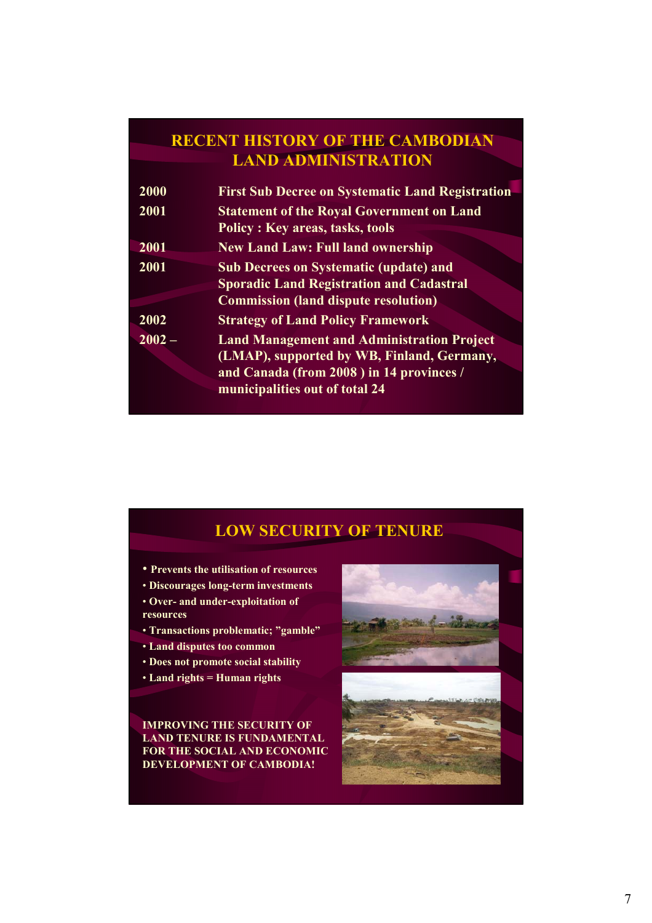# **RECENT HISTORY OF THE CAMBODIAN LAND ADMINISTRATION**

| 2000     | <b>First Sub Decree on Systematic Land Registration</b>                                                                                                                       |
|----------|-------------------------------------------------------------------------------------------------------------------------------------------------------------------------------|
| 2001     | <b>Statement of the Royal Government on Land</b><br><b>Policy: Key areas, tasks, tools</b>                                                                                    |
| 2001     | <b>New Land Law: Full land ownership</b>                                                                                                                                      |
| 2001     | <b>Sub Decrees on Systematic (update) and</b><br><b>Sporadic Land Registration and Cadastral</b><br><b>Commission (land dispute resolution)</b>                               |
| 2002     | <b>Strategy of Land Policy Framework</b>                                                                                                                                      |
| $2002 -$ | <b>Land Management and Administration Project</b><br>(LMAP), supported by WB, Finland, Germany,<br>and Canada (from 2008) in 14 provinces /<br>municipalities out of total 24 |

# **LOW SECURITY OF TENURE**

- **Prevents the utilisation of resources**
- **Discourages long-term investments**
- **Over- and under-exploitation of resources**
- **Transactions problematic; "gamble"**
- **Land disputes too common**
- **Does not promote social stability**
- **Land rights = Human rights**

**IMPROVING THE SECURITY OF LAND TENURE IS FUNDAMENTAL FOR THE SOCIAL AND ECONOMIC DEVELOPMENT OF CAMBODIA!**

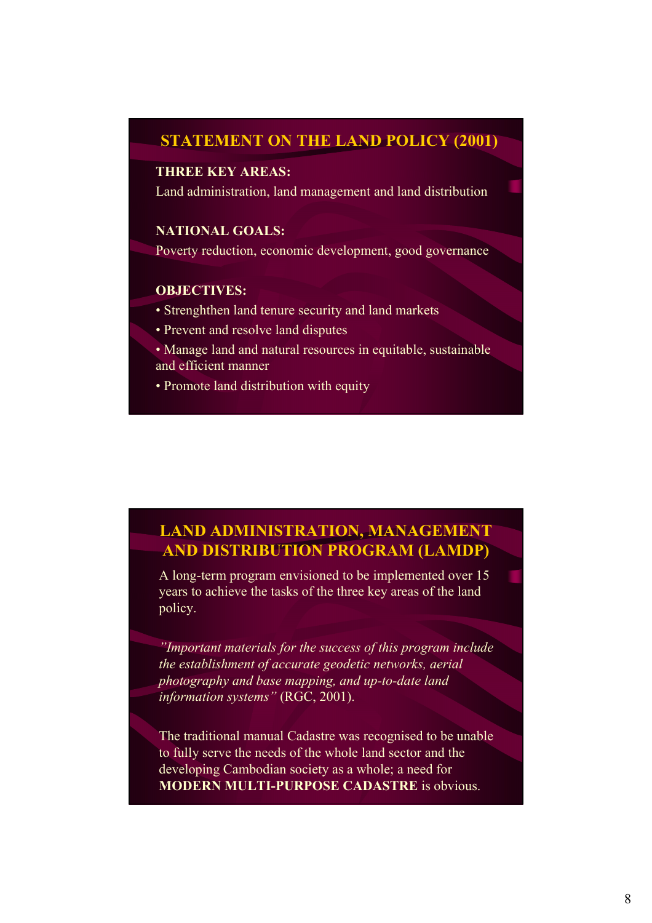## **STATEMENT ON THE LAND POLICY (2001)**

### **THREE KEY AREAS:**

Land administration, land management and land distribution

### **NATIONAL GOALS:**

Poverty reduction, economic development, good governance

### **OBJECTIVES:**

- Strenghthen land tenure security and land markets
- Prevent and resolve land disputes
- Manage land and natural resources in equitable, sustainable and efficient manner
- Promote land distribution with equity

## **LAND ADMINISTRATION, MANAGEMENT AND DISTRIBUTION PROGRAM (LAMDP)**

A long-term program envisioned to be implemented over 15 years to achieve the tasks of the three key areas of the land policy.

*"Important materials for the success of this program include the establishment of accurate geodetic networks, aerial photography and base mapping, and up-to-date land information systems"* (RGC, 2001).

The traditional manual Cadastre was recognised to be unable to fully serve the needs of the whole land sector and the developing Cambodian society as a whole; a need for **MODERN MULTI-PURPOSE CADASTRE** is obvious.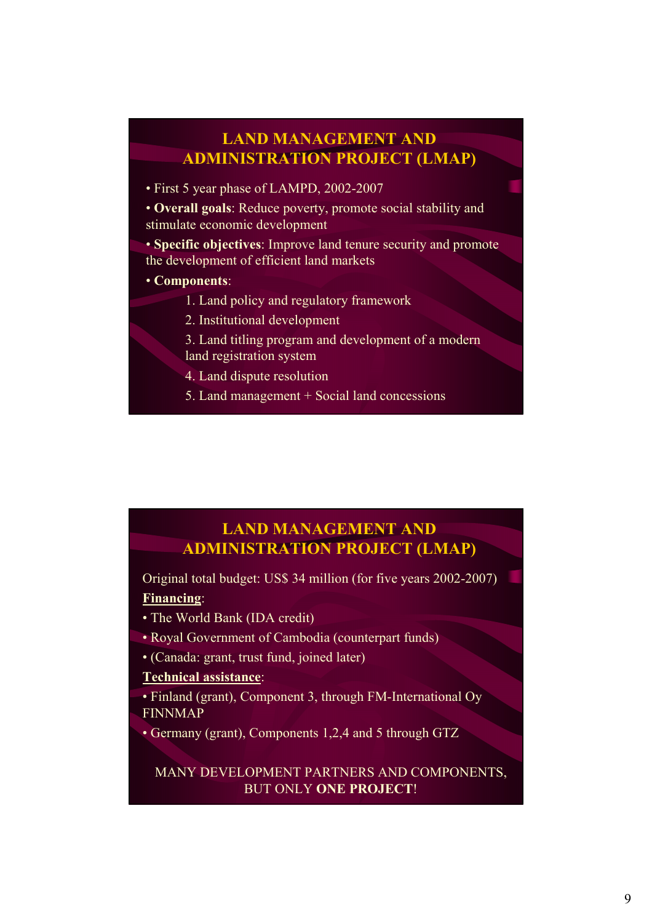# **LAND MANAGEMENT AND ADMINISTRATION PROJECT (LMAP)**

• First 5 year phase of LAMPD, 2002-2007

• **Overall goals**: Reduce poverty, promote social stability and stimulate economic development

• **Specific objectives**: Improve land tenure security and promote the development of efficient land markets

- **Components**:
	- 1. Land policy and regulatory framework
	- 2. Institutional development
	- 3. Land titling program and development of a modern land registration system
	- 4. Land dispute resolution
	- 5. Land management + Social land concessions

## **LAND MANAGEMENT AND ADMINISTRATION PROJECT (LMAP)**

Original total budget: US\$ 34 million (for five years 2002-2007) **Financing**:

- The World Bank (IDA credit)
- Royal Government of Cambodia (counterpart funds)
- (Canada: grant, trust fund, joined later)

### **Technical assistance**:

- Finland (grant), Component 3, through FM-International Oy FINNMAP
- Germany (grant), Components 1,2,4 and 5 through GTZ

MANY DEVELOPMENT PARTNERS AND COMPONENTS, BUT ONLY **ONE PROJECT**!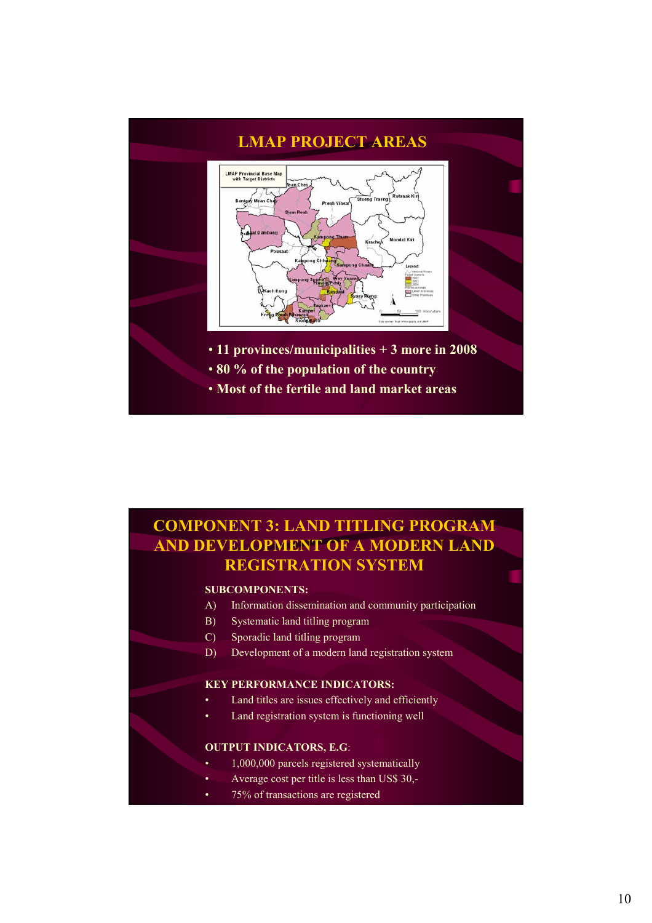

# **COMPONENT 3: LAND TITLING PROGRAM AND DEVELOPMENT OF A MODERN LAND REGISTRATION SYSTEM**

### **SUBCOMPONENTS:**

- A) Information dissemination and community participation
- B) Systematic land titling program
- C) Sporadic land titling program
- D) Development of a modern land registration system

### **KEY PERFORMANCE INDICATORS:**

- Land titles are issues effectively and efficiently
- Land registration system is functioning well

### **OUTPUT INDICATORS, E.G**:

- 1,000,000 parcels registered systematically
- Average cost per title is less than US\$ 30,-
- 75% of transactions are registered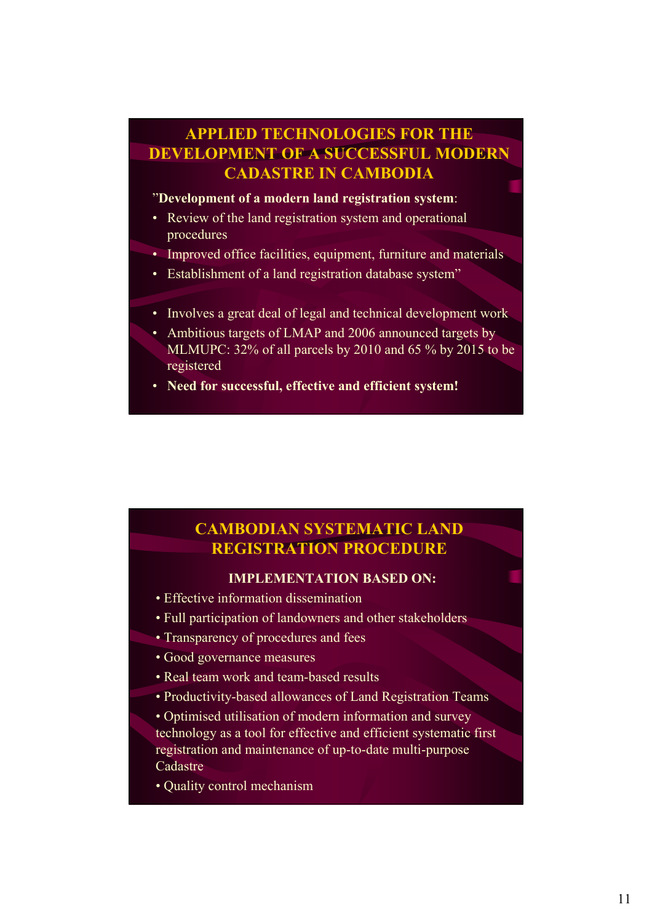# **APPLIED TECHNOLOGIES FOR THE DEVELOPMENT OF A SUCCESSFUL MODERN CADASTRE IN CAMBODIA**

## "**Development of a modern land registration system**:

- Review of the land registration system and operational procedures
- Improved office facilities, equipment, furniture and materials
- Establishment of a land registration database system"
- Involves a great deal of legal and technical development work
- Ambitious targets of LMAP and 2006 announced targets by MLMUPC: 32% of all parcels by 2010 and 65 % by 2015 to be registered
- **Need for successful, effective and efficient system!**

## **CAMBODIAN SYSTEMATIC LAND REGISTRATION PROCEDURE**

## **IMPLEMENTATION BASED ON:**

- Effective information dissemination
- Full participation of landowners and other stakeholders
- Transparency of procedures and fees
- Good governance measures
- Real team work and team-based results
- Productivity-based allowances of Land Registration Teams
- Optimised utilisation of modern information and survey technology as a tool for effective and efficient systematic first registration and maintenance of up-to-date multi-purpose Cadastre
- Quality control mechanism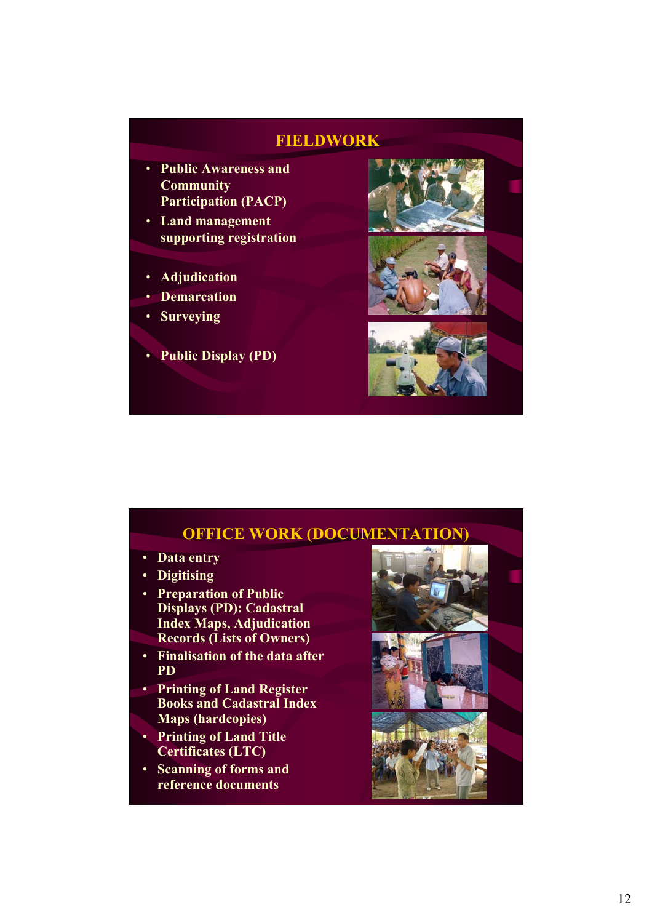## **FIELDWORK**

- **Public Awareness and Community Participation (PACP)**
- **Land management supporting registration**
- **Adjudication**
- **Demarcation**
- **Surveying**
- **Public Display (PD)**



## **OFFICE WORK (DOCUMENTATION)**

- **Data entry**
- **Digitising**
- **Preparation of Public Displays (PD): Cadastral Index Maps, Adjudication Records (Lists of Owners)**
- **Finalisation of the data after**
- **PD** • **Printing of Land Register Books and Cadastral Index**
- **Maps (hardcopies)**
- **Printing of Land Title Certificates (LTC)**
- **Scanning of forms and reference documents**

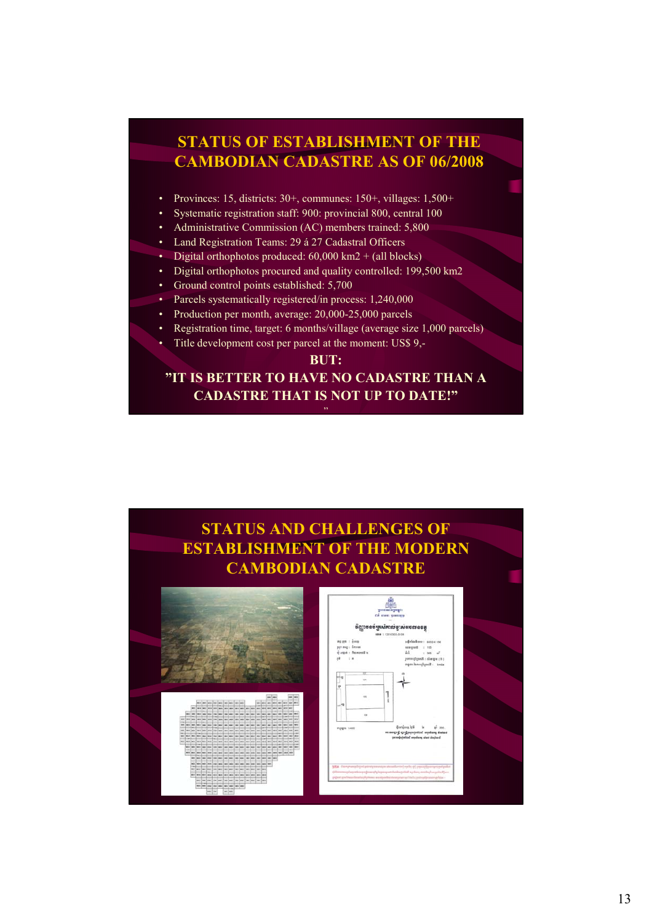# **STATUS OF ESTABLISHMENT OF THE CAMBODIAN CADASTRE AS OF 06/2008** • Provinces: 15, districts: 30+, communes: 150+, villages: 1,500+ • Systematic registration staff: 900: provincial 800, central 100 • Administrative Commission (AC) members trained: 5,800

- Land Registration Teams: 29 á 27 Cadastral Officers
- Digital orthophotos produced:  $60,000 \text{ km}2 + \text{(all blocks)}$
- Digital orthophotos procured and quality controlled: 199,500 km2
- Ground control points established: 5,700
- Parcels systematically registered/in process: 1,240,000
- Production per month, average: 20,000-25,000 parcels
- Registration time, target: 6 months/village (average size 1,000 parcels)
	- Title development cost per parcel at the moment: US\$ 9,-

#### **BUT:**

## **"IT IS BETTER TO HAVE NO CADASTRE THAN A CADASTRE THAT IS NOT UP TO DATE!"** "

# **STATUS AND CHALLENGES OF ESTABLISHMENT OF THE MODERN CAMBODIAN CADASTRE**

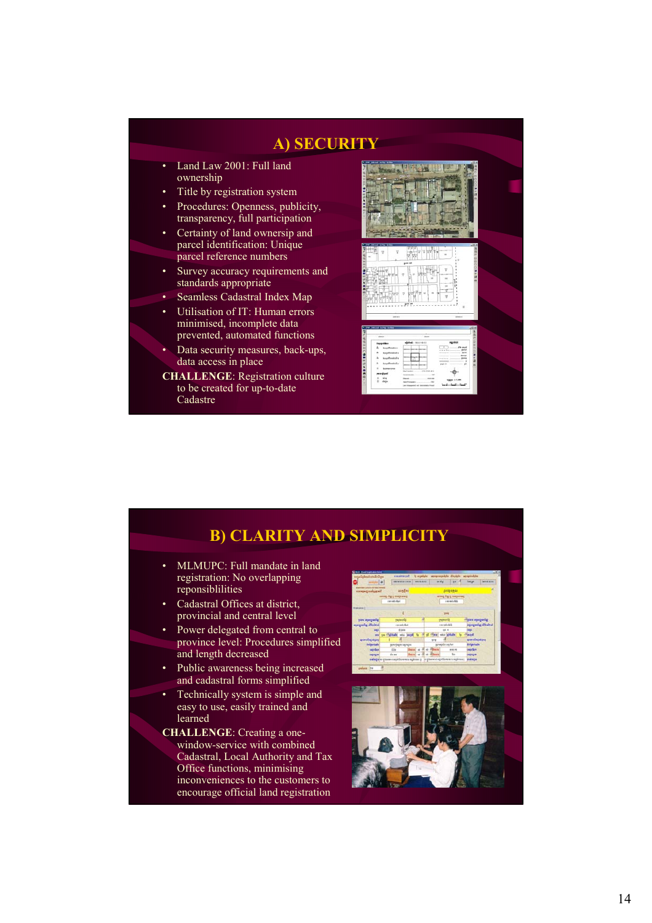

# **B) CLARITY AND SIMPLICITY**

- MLMUPC: Full mandate in land registration: No overlapping reponsiblilities
- Cadastral Offices at district, provincial and central level
- Power delegated from central to province level: Procedures simplified and length decreased
- Public awareness being increased and cadastral forms simplified
- Technically system is simple and easy to use, easily trained and learned
- **CHALLENGE**: Creating a onewindow-service with combined Cadastral, Local Authority and Tax Office functions, minimising inconveniences to the customers to encourage official land registration



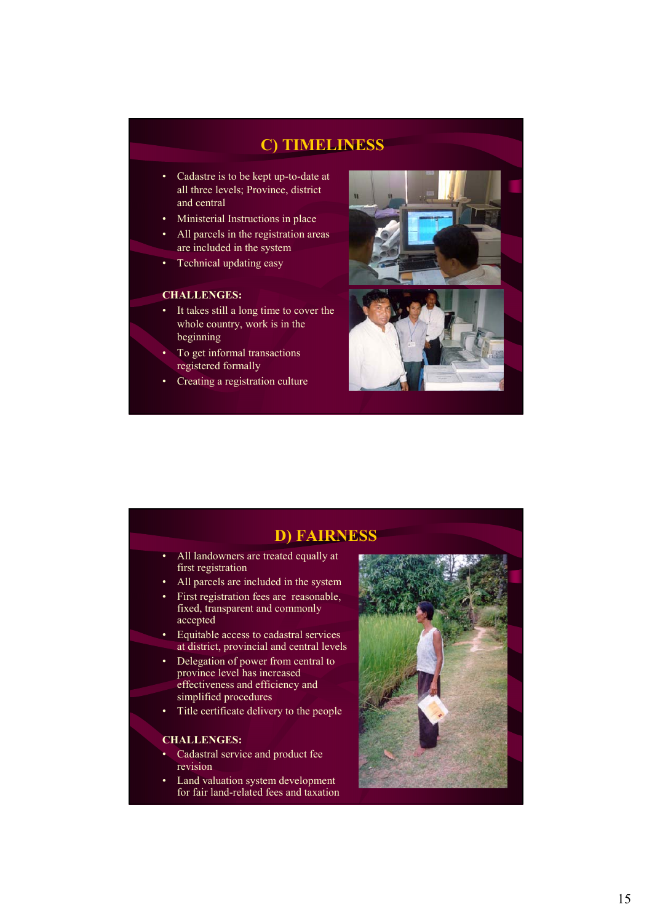## **C) TIMELINESS**

- Cadastre is to be kept up-to-date at all three levels; Province, district and central
- Ministerial Instructions in place
- All parcels in the registration areas are included in the system
- Technical updating easy

### **CHALLENGES:**

- It takes still a long time to cover the whole country, work is in the beginning
- To get informal transactions registered formally
- Creating a registration culture



## **D) FAIRNESS**

- All landowners are treated equally at first registration
- All parcels are included in the system
- First registration fees are reasonable, fixed, transparent and commonly accepted
- Equitable access to cadastral services at district, provincial and central levels
- Delegation of power from central to province level has increased effectiveness and efficiency and simplified procedures
- Title certificate delivery to the people

### **CHALLENGES:**

- Cadastral service and product fee revision
- Land valuation system development for fair land-related fees and taxation

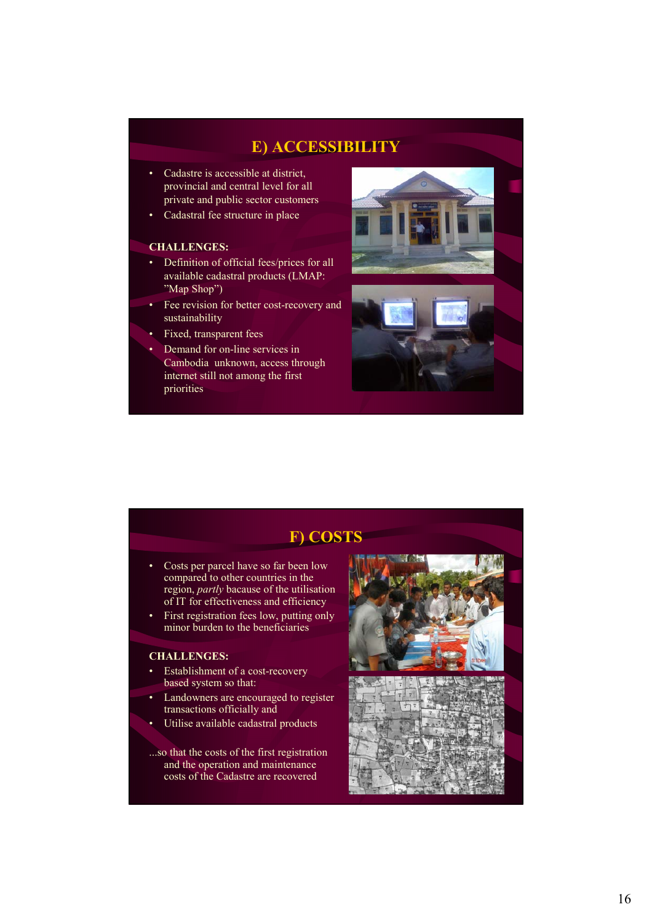## **E) ACCESSIBILITY**

- Cadastre is accessible at district. provincial and central level for all private and public sector customers
- Cadastral fee structure in place

### **CHALLENGES:**

- Definition of official fees/prices for all available cadastral products (LMAP: "Map Shop")
- Fee revision for better cost-recovery and sustainability
- Fixed, transparent fees
	- Demand for on-line services in Cambodia unknown, access through internet still not among the first priorities



# **F) COSTS**

- Costs per parcel have so far been low compared to other countries in the region, *partly* bacause of the utilisation of IT for effectiveness and efficiency
- First registration fees low, putting only minor burden to the beneficiaries

### **CHALLENGES:**

- Establishment of a cost-recovery based system so that:
- Landowners are encouraged to register transactions officially and
- Utilise available cadastral products

...so that the costs of the first registration and the operation and maintenance costs of the Cadastre are recovered



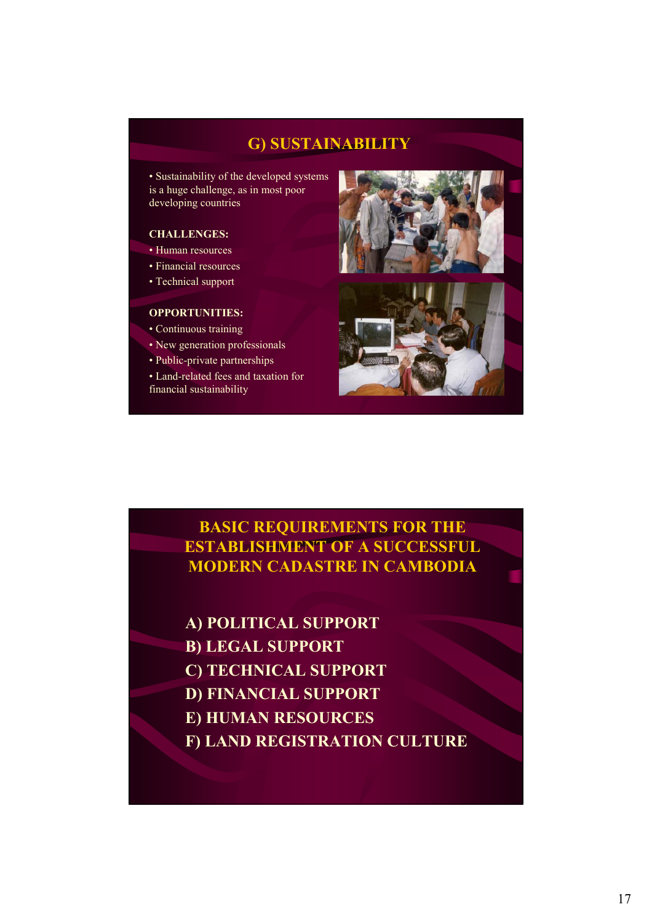## **G) SUSTAINABILITY**

• Sustainability of the developed systems is a huge challenge, as in most poor developing countries

### **CHALLENGES:**

- Human resources
- Financial resources
- Technical support

### **OPPORTUNITIES:**

- Continuous training
- New generation professionals
- Public-private partnerships
- Land-related fees and taxation for financial sustainability





## **BASIC REQUIREMENTS FOR THE ESTABLISHMENT OF A SUCCESSFUL MODERN CADASTRE IN CAMBODIA**

- **A) POLITICAL SUPPORT**
- **B) LEGAL SUPPORT**
- **C) TECHNICAL SUPPORT**
- **D) FINANCIAL SUPPORT**
- **E) HUMAN RESOURCES**
- **F) LAND REGISTRATION CULTURE**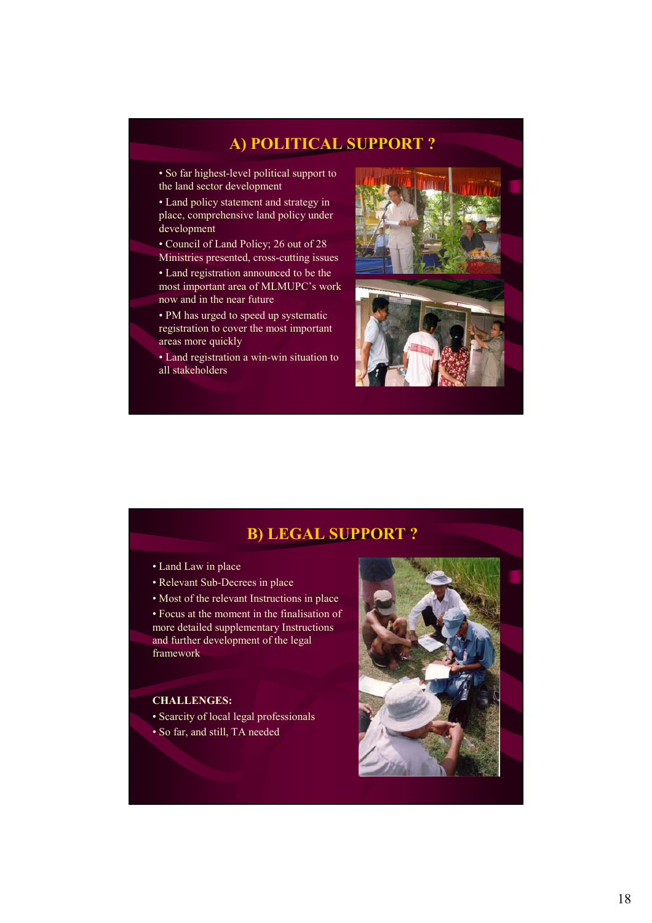## **A) POLITICAL SUPPORT ?**

• So far highest-level political support to the land sector development

• Land policy statement and strategy in place, comprehensive land policy under development

- Council of Land Policy; 26 out of 28 Ministries presented, cross-cutting issues
- Land registration announced to be the most important area of MLMUPC's work now and in the near future
- PM has urged to speed up systematic registration to cover the most important areas more quickly

• Land registration a win-win situation to all stakeholders





## **B) LEGAL SUPPORT ?**

- Land Law in place
- Relevant Sub-Decrees in place

• Most of the relevant Instructions in place • Focus at the moment in the finalisation of more detailed supplementary Instructions and further development of the legal framework

### **CHALLENGES:**

• Scarcity of local legal professionals • So far, and still, TA needed

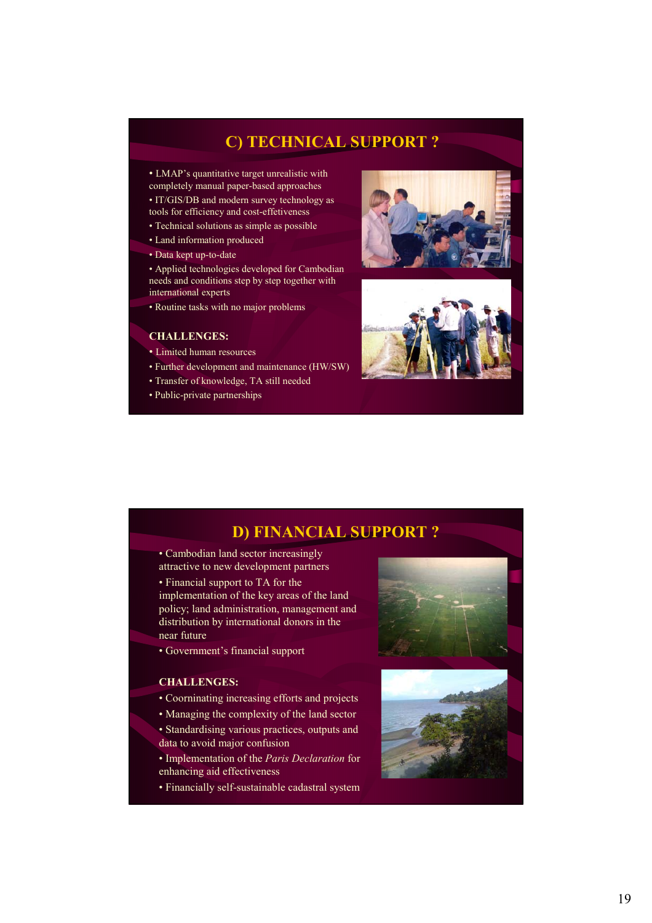## **C) TECHNICAL SUPPORT ?**

• LMAP's quantitative target unrealistic with completely manual paper-based approaches

• IT/GIS/DB and modern survey technology as tools for efficiency and cost-effetiveness

- Technical solutions as simple as possible
- Land information produced
- Data kept up-to-date

• Applied technologies developed for Cambodian needs and conditions step by step together with international experts

• Routine tasks with no major problems

#### **CHALLENGES:**

- Limited human resources
- Further development and maintenance (HW/SW)
- Transfer of knowledge, TA still needed
- Public-private partnerships





## **D) FINANCIAL SUPPORT ?**

• Cambodian land sector increasingly attractive to new development partners

• Financial support to TA for the implementation of the key areas of the land policy; land administration, management and distribution by international donors in the near future

• Government's financial support

### **CHALLENGES:**

- Coorninating increasing efforts and projects
- Managing the complexity of the land sector
- Standardising various practices, outputs and data to avoid major confusion
- Implementation of the *Paris Declaration* for enhancing aid effectiveness
- Financially self-sustainable cadastral system



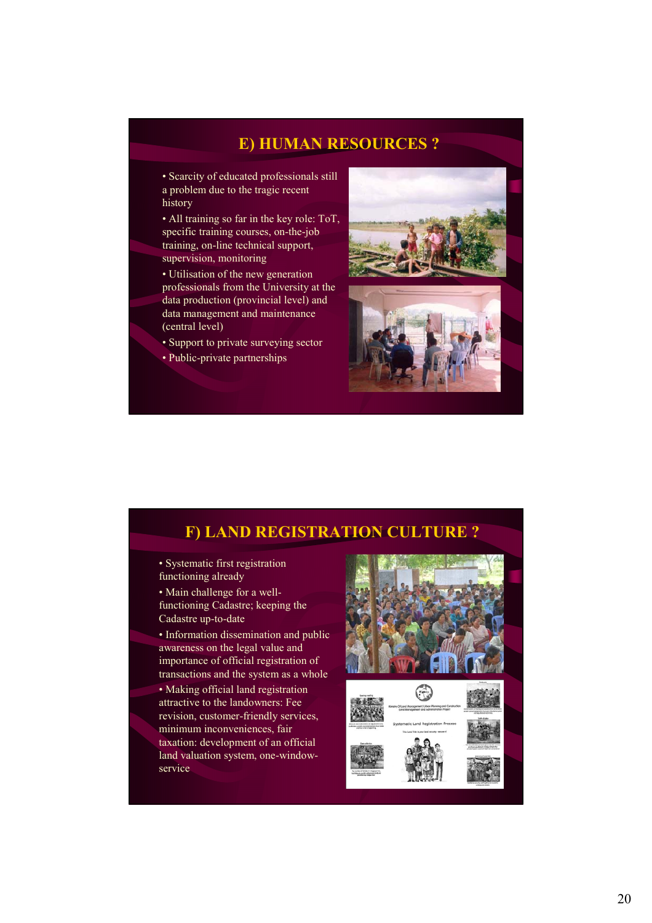## **E) HUMAN RESOURCES ?**

• Scarcity of educated professionals still a problem due to the tragic recent history

• All training so far in the key role: ToT, specific training courses, on-the-job training, on-line technical support, supervision, monitoring

• Utilisation of the new generation professionals from the University at the data production (provincial level) and data management and maintenance (central level)

• Support to private surveying sector

• Public-private partnerships





## **F) LAND REGISTRATION CULTURE ?**

• Systematic first registration functioning already

• Main challenge for a wellfunctioning Cadastre; keeping the Cadastre up-to-date

• Information dissemination and public awareness on the legal value and importance of official registration of transactions and the system as a whole

• Making official land registration attractive to the landowners: Fee revision, customer-friendly services, minimum inconveniences, fair taxation: development of an official land valuation system, one-windowservice



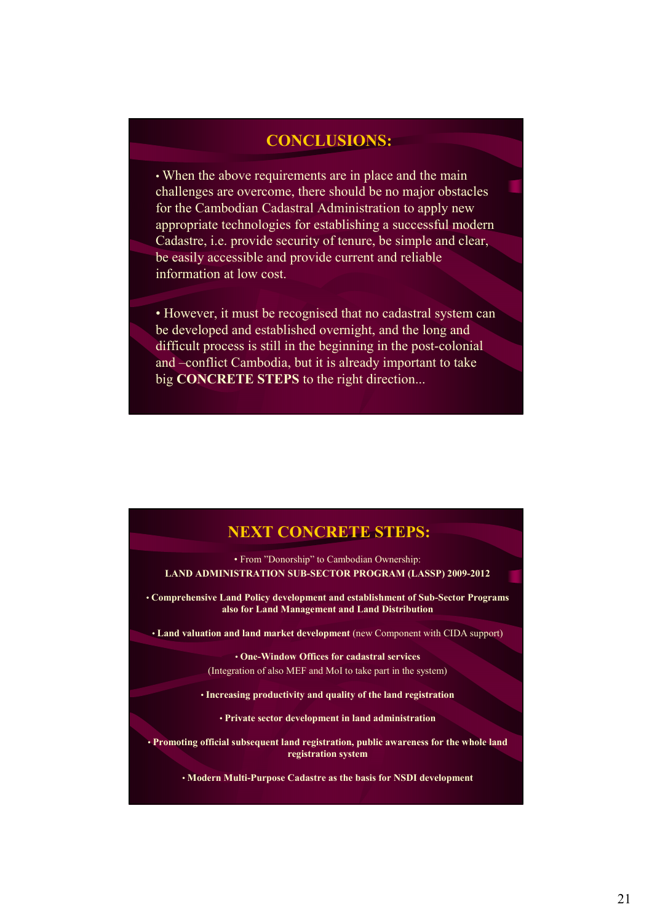## **CONCLUSIONS:**

• When the above requirements are in place and the main challenges are overcome, there should be no major obstacles for the Cambodian Cadastral Administration to apply new appropriate technologies for establishing a successful modern Cadastre, i.e. provide security of tenure, be simple and clear, be easily accessible and provide current and reliable information at low cost.

• However, it must be recognised that no cadastral system can be developed and established overnight, and the long and difficult process is still in the beginning in the post-colonial and –conflict Cambodia, but it is already important to take big **CONCRETE STEPS** to the right direction...

## **NEXT CONCRETE STEPS:**

• From "Donorship" to Cambodian Ownership: **LAND ADMINISTRATION SUB-SECTOR PROGRAM (LASSP) 2009-2012**

• **Comprehensive Land Policy development and establishment of Sub-Sector Programs also for Land Management and Land Distribution**

• **Land valuation and land market development** (new Component with CIDA support)

• **One-Window Offices for cadastral services**  (Integration of also MEF and MoI to take part in the system)

• **Increasing productivity and quality of the land registration**

• **Private sector development in land administration**

• **Promoting official subsequent land registration, public awareness for the whole land registration system**

• **Modern Multi-Purpose Cadastre as the basis for NSDI development**